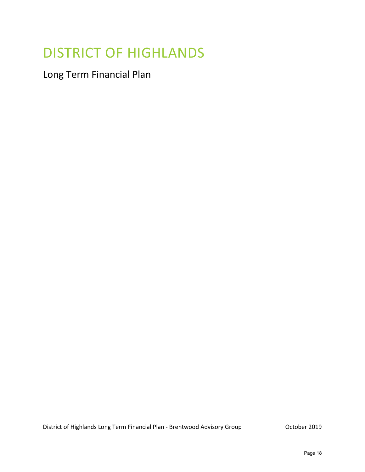# DISTRICT OF HIGHLANDS

Long Term Financial Plan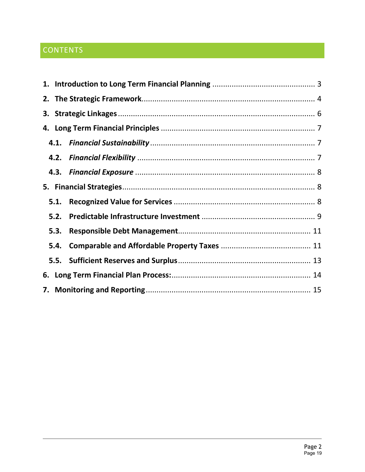## CONTENTS

| 5.1. |  |
|------|--|
| 5.2. |  |
| 5.3. |  |
| 5.4. |  |
|      |  |
|      |  |
|      |  |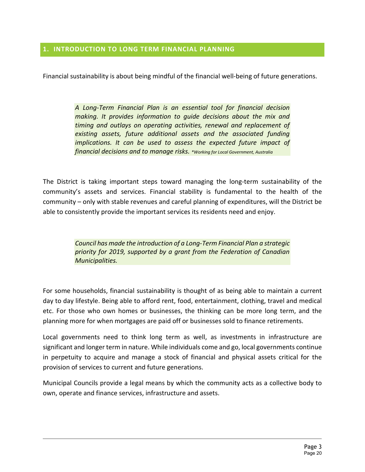#### <span id="page-2-0"></span>**1. INTRODUCTION TO LONG TERM FINANCIAL PLANNING**

Financial sustainability is about being mindful of the financial well-being of future generations.

*A Long-Term Financial Plan is an essential tool for financial decision making. It provides information to guide decisions about the mix and timing and outlays on operating activities, renewal and replacement of existing assets, future additional assets and the associated funding implications. It can be used to assess the expected future impact of financial decisions and to manage risks. \*Working for Local Government, Australia*

The District is taking important steps toward managing the long-term sustainability of the community's assets and services. Financial stability is fundamental to the health of the community – only with stable revenues and careful planning of expenditures, will the District be able to consistently provide the important services its residents need and enjoy.

> *Council has made the introduction of a Long-Term Financial Plan a strategic priority for 2019, supported by a grant from the Federation of Canadian Municipalities.*

For some households, financial sustainability is thought of as being able to maintain a current day to day lifestyle. Being able to afford rent, food, entertainment, clothing, travel and medical etc. For those who own homes or businesses, the thinking can be more long term, and the planning more for when mortgages are paid off or businesses sold to finance retirements.

Local governments need to think long term as well, as investments in infrastructure are significant and longer term in nature. While individuals come and go, local governments continue in perpetuity to acquire and manage a stock of financial and physical assets critical for the provision of services to current and future generations.

Municipal Councils provide a legal means by which the community acts as a collective body to own, operate and finance services, infrastructure and assets.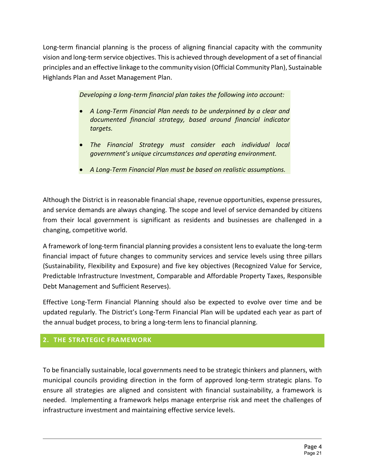Long-term financial planning is the process of aligning financial capacity with the community vision and long-term service objectives. This is achieved through development of a set of financial principles and an effective linkage to the community vision (Official Community Plan), Sustainable Highlands Plan and Asset Management Plan.

*Developing a long-term financial plan takes the following into account:*

- *A Long-Term Financial Plan needs to be underpinned by a clear and documented financial strategy, based around financial indicator targets.*
- *The Financial Strategy must consider each individual local government's unique circumstances and operating environment.*
- *A Long-Term Financial Plan must be based on realistic assumptions.*

Although the District is in reasonable financial shape, revenue opportunities, expense pressures, and service demands are always changing. The scope and level of service demanded by citizens from their local government is significant as residents and businesses are challenged in a changing, competitive world.

A framework of long-term financial planning provides a consistent lens to evaluate the long-term financial impact of future changes to community services and service levels using three pillars (Sustainability, Flexibility and Exposure) and five key objectives (Recognized Value for Service, Predictable Infrastructure Investment, Comparable and Affordable Property Taxes, Responsible Debt Management and Sufficient Reserves).

Effective Long-Term Financial Planning should also be expected to evolve over time and be updated regularly. The District's Long-Term Financial Plan will be updated each year as part of the annual budget process, to bring a long-term lens to financial planning.

## <span id="page-3-0"></span>**2. THE STRATEGIC FRAMEWORK**

To be financially sustainable, local governments need to be strategic thinkers and planners, with municipal councils providing direction in the form of approved long-term strategic plans. To ensure all strategies are aligned and consistent with financial sustainability, a framework is needed. Implementing a framework helps manage enterprise risk and meet the challenges of infrastructure investment and maintaining effective service levels.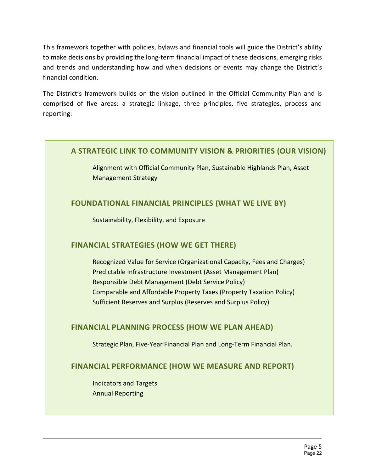This framework together with policies, bylaws and financial tools will guide the District's ability to make decisions by providing the long-term financial impact of these decisions, emerging risks and trends and understanding how and when decisions or events may change the District's financial condition.

The District's framework builds on the vision outlined in the Official Community Plan and is comprised of five areas: a strategic linkage, three principles, five strategies, process and reporting:

## **A STRATEGIC LINK TO COMMUNITY VISION & PRIORITIES (OUR VISION)**

Alignment with Official Community Plan, Sustainable Highlands Plan, Asset Management Strategy

## **FOUNDATIONAL FINANCIAL PRINCIPLES (WHAT WE LIVE BY)**

Sustainability, Flexibility, and Exposure

## **FINANCIAL STRATEGIES (HOW WE GET THERE)**

Recognized Value for Service (Organizational Capacity, Fees and Charges) Predictable Infrastructure Investment (Asset Management Plan) Responsible Debt Management (Debt Service Policy) Comparable and Affordable Property Taxes (Property Taxation Policy) Sufficient Reserves and Surplus (Reserves and Surplus Policy)

## **FINANCIAL PLANNING PROCESS (HOW WE PLAN AHEAD)**

Strategic Plan, Five-Year Financial Plan and Long-Term Financial Plan.

## **FINANCIAL PERFORMANCE (HOW WE MEASURE AND REPORT)**

Indicators and Targets Annual Reporting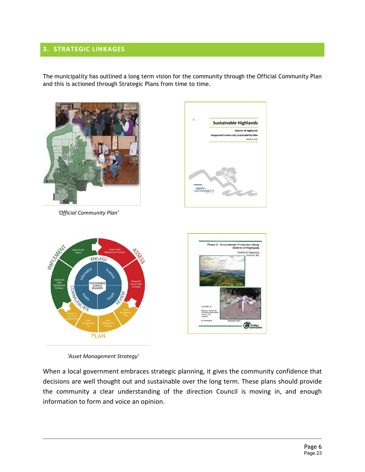## <span id="page-5-0"></span>**3. STRATEGIC LINKAGES**

The municipality has outlined a long term vision for the community through the Official Community Plan and this is actioned through Strategic Plans from time to time.

**Sustainable Highlands** 

**District of Highlands** r 25, 2011



 *'Official Community Plan'*

ENGAGE

**SERVICE**<br>DELIVERY

Illipida Rich



 *'Asset Management Strategy'*

**PLAN** 

When a local government embraces strategic planning, it gives the community confidence that decisions are well thought out and sustainable over the long term. These plans should provide the community a clear understanding of the direction Council is moving in, and enough information to form and voice an opinion.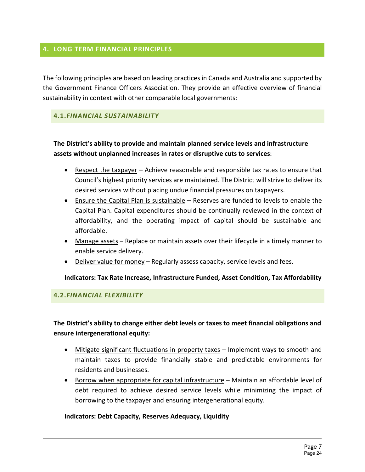#### <span id="page-6-0"></span>**4. LONG TERM FINANCIAL PRINCIPLES**

The following principles are based on leading practices in Canada and Australia and supported by the Government Finance Officers Association. They provide an effective overview of financial sustainability in context with other comparable local governments:

#### <span id="page-6-1"></span>**4.1.***FINANCIAL SUSTAINABILITY*

## **The District's ability to provide and maintain planned service levels and infrastructure assets without unplanned increases in rates or disruptive cuts to services**:

- Respect the taxpayer Achieve reasonable and responsible tax rates to ensure that Council's highest priority services are maintained. The District will strive to deliver its desired services without placing undue financial pressures on taxpayers.
- Ensure the Capital Plan is sustainable Reserves are funded to levels to enable the Capital Plan. Capital expenditures should be continually reviewed in the context of affordability, and the operating impact of capital should be sustainable and affordable.
- Manage assets Replace or maintain assets over their lifecycle in a timely manner to enable service delivery.
- Deliver value for money Regularly assess capacity, service levels and fees.

**Indicators: Tax Rate Increase, Infrastructure Funded, Asset Condition, Tax Affordability**

#### <span id="page-6-2"></span>**4.2.***FINANCIAL FLEXIBILITY*

## **The District's ability to change either debt levels or taxes to meet financial obligations and ensure intergenerational equity:**

- Mitigate significant fluctuations in property taxes Implement ways to smooth and maintain taxes to provide financially stable and predictable environments for residents and businesses.
- Borrow when appropriate for capital infrastructure Maintain an affordable level of debt required to achieve desired service levels while minimizing the impact of borrowing to the taxpayer and ensuring intergenerational equity.

#### **Indicators: Debt Capacity, Reserves Adequacy, Liquidity**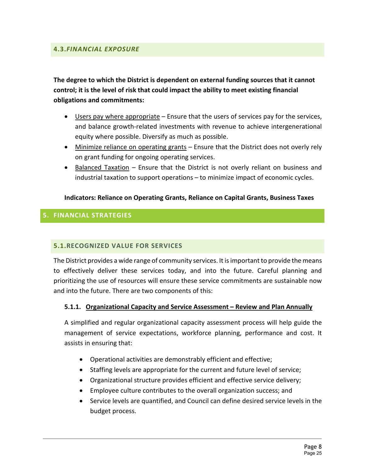<span id="page-7-0"></span>**The degree to which the District is dependent on external funding sources that it cannot control; it is the level of risk that could impact the ability to meet existing financial obligations and commitments:** 

- Users pay where appropriate Ensure that the users of services pay for the services, and balance growth-related investments with revenue to achieve intergenerational equity where possible. Diversify as much as possible.
- Minimize reliance on operating grants Ensure that the District does not overly rely on grant funding for ongoing operating services.
- Balanced Taxation Ensure that the District is not overly reliant on business and industrial taxation to support operations – to minimize impact of economic cycles.

#### **Indicators: Reliance on Operating Grants, Reliance on Capital Grants, Business Taxes**

## <span id="page-7-1"></span>**5. FINANCIAL STRATEGIES**

#### <span id="page-7-2"></span>**5.1.RECOGNIZED VALUE FOR SERVICES**

The District provides a wide range of community services. It is important to provide the means to effectively deliver these services today, and into the future. Careful planning and prioritizing the use of resources will ensure these service commitments are sustainable now and into the future. There are two components of this:

#### **5.1.1. Organizational Capacity and Service Assessment – Review and Plan Annually**

A simplified and regular organizational capacity assessment process will help guide the management of service expectations, workforce planning, performance and cost. It assists in ensuring that:

- Operational activities are demonstrably efficient and effective;
- Staffing levels are appropriate for the current and future level of service;
- Organizational structure provides efficient and effective service delivery;
- Employee culture contributes to the overall organization success; and
- Service levels are quantified, and Council can define desired service levels in the budget process.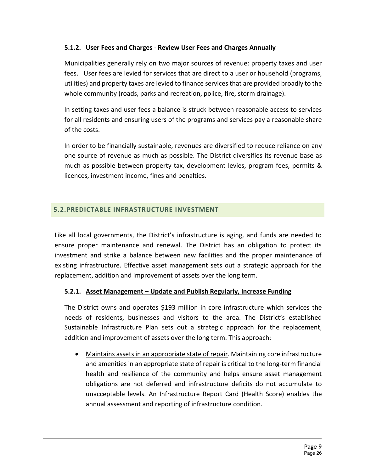## **5.1.2. User Fees and Charges** - **Review User Fees and Charges Annually**

Municipalities generally rely on two major sources of revenue: property taxes and user fees. User fees are levied for services that are direct to a user or household (programs, utilities) and property taxes are levied to finance services that are provided broadly to the whole community (roads, parks and recreation, police, fire, storm drainage).

In setting taxes and user fees a balance is struck between reasonable access to services for all residents and ensuring users of the programs and services pay a reasonable share of the costs.

In order to be financially sustainable, revenues are diversified to reduce reliance on any one source of revenue as much as possible. The District diversifies its revenue base as much as possible between property tax, development levies, program fees, permits & licences, investment income, fines and penalties.

## <span id="page-8-0"></span>**5.2.PREDICTABLE INFRASTRUCTURE INVESTMENT**

Like all local governments, the District's infrastructure is aging, and funds are needed to ensure proper maintenance and renewal. The District has an obligation to protect its investment and strike a balance between new facilities and the proper maintenance of existing infrastructure. Effective asset management sets out a strategic approach for the replacement, addition and improvement of assets over the long term.

#### **5.2.1. Asset Management – Update and Publish Regularly, Increase Funding**

The District owns and operates \$193 million in core infrastructure which services the needs of residents, businesses and visitors to the area. The District's established Sustainable Infrastructure Plan sets out a strategic approach for the replacement, addition and improvement of assets over the long term. This approach:

• Maintains assets in an appropriate state of repair. Maintaining core infrastructure and amenities in an appropriate state of repair is critical to the long-term financial health and resilience of the community and helps ensure asset management obligations are not deferred and infrastructure deficits do not accumulate to unacceptable levels. An Infrastructure Report Card (Health Score) enables the annual assessment and reporting of infrastructure condition.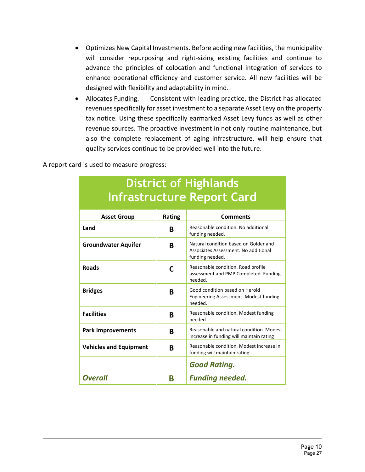- Optimizes New Capital Investments. Before adding new facilities, the municipality will consider repurposing and right-sizing existing facilities and continue to advance the principles of colocation and functional integration of services to enhance operational efficiency and customer service. All new facilities will be designed with flexibility and adaptability in mind.
- Allocates Funding. Consistent with leading practice, the District has allocated revenues specifically for asset investment to a separate Asset Levy on the property tax notice. Using these specifically earmarked Asset Levy funds as well as other revenue sources. The proactive investment in not only routine maintenance, but also the complete replacement of aging infrastructure, will help ensure that quality services continue to be provided well into the future.

A report card is used to measure progress:

|                               |        | illii asti uctui e-kepolit cai u                                                                 |  |  |  |
|-------------------------------|--------|--------------------------------------------------------------------------------------------------|--|--|--|
| <b>Asset Group</b>            | Rating | <b>Comments</b>                                                                                  |  |  |  |
| Land                          | В      | Reasonable condition. No additional<br>funding needed.                                           |  |  |  |
| <b>Groundwater Aquifer</b>    | В      | Natural condition based on Golder and<br>Associates Assessment. No additional<br>funding needed. |  |  |  |
| <b>Roads</b>                  | C      | Reasonable condition. Road profile<br>assessment and PMP Completed. Funding<br>needed.           |  |  |  |
| <b>Bridges</b>                | R      | Good condition based on Herold<br>Engineering Assessment. Modest funding<br>needed.              |  |  |  |
| <b>Facilities</b>             | R      | Reasonable condition. Modest funding<br>needed.                                                  |  |  |  |
| <b>Park Improvements</b>      | В      | Reasonable and natural condition. Modest<br>increase in funding will maintain rating             |  |  |  |
| <b>Vehicles and Equipment</b> | В      | Reasonable condition. Modest increase in<br>funding will maintain rating.                        |  |  |  |
|                               |        | <b>Good Rating.</b>                                                                              |  |  |  |
| <b>Overall</b>                | R      | <b>Funding needed.</b>                                                                           |  |  |  |

## **District of Highlands Infrastructure Report Card**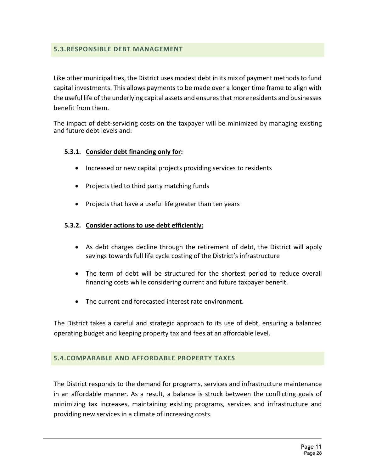#### <span id="page-10-0"></span>**5.3.RESPONSIBLE DEBT MANAGEMENT**

Like other municipalities, the District uses modest debt in its mix of payment methods to fund capital investments. This allows payments to be made over a longer time frame to align with the useful life of the underlying capital assets and ensures that more residents and businesses benefit from them.

The impact of debt-servicing costs on the taxpayer will be minimized by managing existing and future debt levels and:

#### **5.3.1. Consider debt financing only for:**

- Increased or new capital projects providing services to residents
- Projects tied to third party matching funds
- Projects that have a useful life greater than ten years

#### **5.3.2. Consider actions to use debt efficiently:**

- As debt charges decline through the retirement of debt, the District will apply savings towards full life cycle costing of the District's infrastructure
- The term of debt will be structured for the shortest period to reduce overall financing costs while considering current and future taxpayer benefit.
- The current and forecasted interest rate environment.

The District takes a careful and strategic approach to its use of debt, ensuring a balanced operating budget and keeping property tax and fees at an affordable level.

#### <span id="page-10-1"></span>**5.4.COMPARABLE AND AFFORDABLE PROPERTY TAXES**

The District responds to the demand for programs, services and infrastructure maintenance in an affordable manner. As a result, a balance is struck between the conflicting goals of minimizing tax increases, maintaining existing programs, services and infrastructure and providing new services in a climate of increasing costs.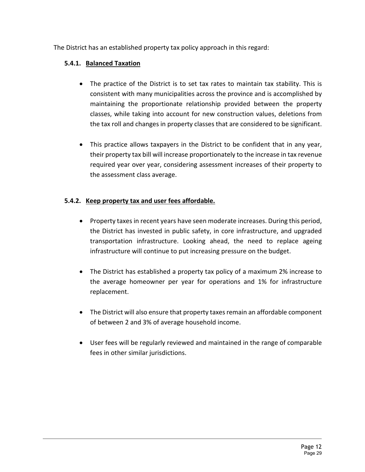The District has an established property tax policy approach in this regard:

## **5.4.1. Balanced Taxation**

- The practice of the District is to set tax rates to maintain tax stability. This is consistent with many municipalities across the province and is accomplished by maintaining the proportionate relationship provided between the property classes, while taking into account for new construction values, deletions from the tax roll and changes in property classes that are considered to be significant.
- This practice allows taxpayers in the District to be confident that in any year, their property tax bill will increase proportionately to the increase in tax revenue required year over year, considering assessment increases of their property to the assessment class average.

## **5.4.2. Keep property tax and user fees affordable.**

- Property taxes in recent years have seen moderate increases. During this period, the District has invested in public safety, in core infrastructure, and upgraded transportation infrastructure. Looking ahead, the need to replace ageing infrastructure will continue to put increasing pressure on the budget.
- The District has established a property tax policy of a maximum 2% increase to the average homeowner per year for operations and 1% for infrastructure replacement.
- The District will also ensure that property taxes remain an affordable component of between 2 and 3% of average household income.
- User fees will be regularly reviewed and maintained in the range of comparable fees in other similar jurisdictions.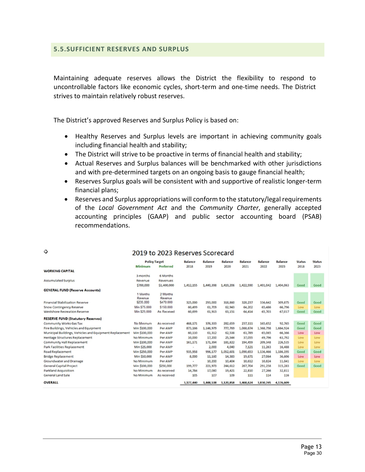#### <span id="page-12-0"></span>**5.5.SUFFICIENT RESERVES AND SURPLUS**

Ó

Maintaining adequate reserves allows the District the flexibility to respond to uncontrollable factors like economic cycles, short-term and one-time needs. The District strives to maintain relatively robust reserves.

The District's approved Reserves and Surplus Policy is based on:

- Healthy Reserves and Surplus levels are important in achieving community goals including financial health and stability;
- The District will strive to be proactive in terms of financial health and stability;
- Actual Reserves and Surplus balances will be benchmarked with other jurisdictions and with pre-determined targets on an ongoing basis to gauge financial health;
- Reserves Surplus goals will be consistent with and supportive of realistic longer-term financial plans;
- Reserves and Surplus appropriations will conform to the statutory/legal requirements of the *Local Government Act* and the *Community Charter*, generally accepted accounting principles (GAAP) and public sector accounting board (PSAB) recommendations.

|                                                         | <b>Policy Target</b> |             | Balance   | <b>Balance</b> | <b>Balance</b> | <b>Balance</b> | Balance   | <b>Balance</b> | <b>Status</b> | <b>Status</b> |
|---------------------------------------------------------|----------------------|-------------|-----------|----------------|----------------|----------------|-----------|----------------|---------------|---------------|
|                                                         | Minimum              | Preferred   | 2018      | 2019           | 2020           | 2021           | 2022      | 2023           | 2018          | 2023          |
| <b>WORKING CAPITAL</b>                                  |                      |             |           |                |                |                |           |                |               |               |
|                                                         | 3 months             | 6 Months    |           |                |                |                |           |                |               |               |
| <b>Accumulated Surplus</b>                              | Revenue              | Revenues    |           |                |                |                |           |                |               |               |
|                                                         | \$700,000            | \$1,400,000 | 1,412,155 | 1,440,398      | 1,419,206      | 1,422,590      | 1,401,042 | 1,404,063      | Good          | Good          |
| <b>GENERAL FUND (Reserve Accounts)</b>                  |                      |             |           |                |                |                |           |                |               |               |
|                                                         | 1 Months             | 2 Months    |           |                |                |                |           |                |               |               |
|                                                         | Revenue              | Revenue     |           |                |                |                |           |                |               |               |
| Financial Stabilization Reserve                         | \$235,000            | \$470,000   | 325,000   | 293,000        | 318,860        | 320,237        | 336,642   | 309,875        | Good          | Good          |
| Snow Contingency Reserve                                | Min \$75,000         | \$150,000   | 60,499    | 61,709         | 62,943         | 64.202         | 65,486    | 66,796         | Low           | Low           |
| Westshore Recreation Reserve                            | Min \$25,000         | As Received | 60,699    | 61,913         | 63,151         | 64,414         | 65,703    | 67,017         | Good          | Good          |
| <b>RESERVE FUND (Statutory Reserves)</b>                |                      |             |           |                |                |                |           |                |               |               |
| Community Works Gas Tax                                 | No Minimum           | As received | 468,171   | 376,333        | 282,659        | 237,111        | 165,652   | 92,765         | Good          | Good          |
| Fire Buildings, Vehicles and Equipment                  | Min \$100,000        | Per AMP     | 873,166   | 1,146,979      | 777,769        | 1,068,674      | 1,368,798 | 1,684,924      | Good          | Good          |
| Municipal Buildings, Vehicles and Equipment Replacement | Min \$100,000        | Per AMP     | 60,110    | 61,312         | 62,538         | 63,789         | 65,065    | 66,366         | Low           | Low           |
| <b>Heritage Structures Replacement</b>                  | No Minimum           | Per AMP     | 10,000    | 17,200         | 25,544         | 37,055         | 49,796    | 63,792         | Low           | Low           |
| Community Hall Replacement                              | Min \$100,000        | Per AMP     | 161,171   | 171,394        | 181,822        | 194,459        | 209,348   | 226,535        | Low           | Low           |
| Park Facilities Replacement                             | Min \$25,000         | Per AMP     | $\sim$    | 2,000          | 4,040          | 7,121          | 11,263    | 16,488         | Low           | Low           |
| Road Replacement                                        | Min \$250,000        | Per AMP     | 935,958   | 996,177        | 1,052,601      | 1,090,653      | 1,136,466 | 1,186,195      | Good          | Good          |
| <b>Bridge Replacement</b>                               | Min \$50,000         | Per AMP     | 8,000     | 11,160         | 14,383         | 19,671         | 27,064    | 36,606         | Low           | Low           |
| Groundwater and Drainage                                | No Minimum           | Per AMP     |           | 10,200         | 10,404         | 10,612         | 10,824    | 11,041         | Low           | Low           |
| General Capital Project                                 | Min \$100,000        | \$250,000   | 199,777   | 221,973        | 244,612        | 267,704        | 291,258   | 315,283        | Good          | Good          |
| Parkland Acquisition                                    | No Minimum           | As received | 14,784    | 17,080         | 19,421         | 22,810         | 27,266    | 32,811         |               |               |
| General Land Sale                                       | No Minimum           | As received | 105       | 107            | 109            | 111            | 114       | 116            |               |               |
| <b>OVERALL</b>                                          |                      |             | 3,177,440 | 3,448,538      | 3,120,858      | 3,468,624      | 3,830,745 | 4,176,609      |               |               |

#### 2019 to 2023 Reserves Scorecard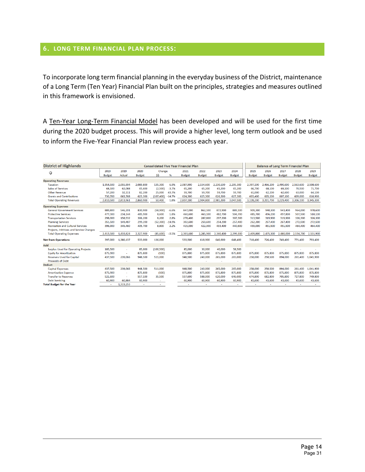#### <span id="page-13-0"></span>**6. LONG TERM FINANCIAL PLAN PROCESS:**

To incorporate long term financial planning in the everyday business of the District, maintenance of a Long Term (Ten Year) Financial Plan built on the principles, strategies and measures outlined in this framework is envisioned.

A Ten-Year Long-Term Financial Model has been developed and will be used for the first time during the 2020 budget process. This will provide a higher level, long term outlook and be used to inform the Five-Year Financial Plan review process each year.

| <b>District of Highlands</b>               |               | <b>Consolidated Five Year Financial Plan</b> |               |            |          |               |               |               | <b>Balance of Long Term Financial Plan</b> |               |               |               |               |           |
|--------------------------------------------|---------------|----------------------------------------------|---------------|------------|----------|---------------|---------------|---------------|--------------------------------------------|---------------|---------------|---------------|---------------|-----------|
| Ф                                          | 2019          | 2019                                         | 2020          | Change     |          | 2021          | 2022          | 2023          | 2024                                       | 2025          | 2026          | 2027          | 2028          | 2029      |
|                                            | <b>Budget</b> | Actual                                       | <b>Budget</b> | \$\$       | %        | <b>Budget</b> | <b>Budget</b> | <b>Budget</b> | <b>Budget</b>                              | <b>Budget</b> | <b>Budget</b> | <b>Budget</b> | <b>Budget</b> | Budget    |
| <b>Operating Revenues</b>                  |               |                                              |               |            |          |               |               |               |                                            |               |               |               |               |           |
| <b>Taxation</b>                            | 1.954.500     | 2.055.994                                    | 2.089.800     | 135,300    | 6.9%     | 2.087.900     | 2.154.600     | 2.230.100     | 2.295.300                                  | 2,397,100     | 2.466.200     | 2.490.600     | 2.563.600     | 2.598.600 |
| <b>Sales of Services</b>                   | 68,100        | 62,088                                       | 65,600        | (2,500)    | $-3.7%$  | 65,200        | 65,200        | 65,200        | 65,200                                     | 66,700        | 68,100        | 69,100        | 70,500        | 71,700    |
| <b>Other Revenue</b>                       | 57.200        | 32,111                                       | 82,200        | 25,000     | 43.7%    | 59.700        | 59.700        | 59.700        | 59,700                                     | 61,000        | 62,200        | 62,600        | 63,000        | 64,100    |
| <b>Grants and Contributions</b>            | 730,700       | 663,768                                      | 623,300       | (107, 400) | $-14.7%$ | 624,300       | 625,300       | 626,300       | 627,300                                    | 603,400       | 605,200       | 607,100       | 609,000       | 610,900   |
| <b>Total Operating Revenues</b>            | 2.810.500     | 2,813,961                                    | 2.860.900     | 50,400     | 1.8%     | 2,837,100     | 2,904,800     | 2.981.300     | 3,047,500                                  | 3,128,200     | 3.201.700     | 3.229.400     | 3.306.100     | 3,345,300 |
| <b>Operating Expenses</b>                  |               |                                              |               |            |          |               |               |               |                                            |               |               |               |               |           |
| <b>General Government Services</b>         | 889,800       | 546,201                                      | 830,900       | (58,900)   | $-6.6%$  | 847,000       | 862,100       | 872,900       | 889,100                                    | 909,300       | 940,300       | 943,400       | 964,000       | 978,600   |
| <b>Protective Services</b>                 | 477.300       | 234,144                                      | 485,900       | 8.600      | 1.8%     | 460,600       | 463,100       | 482.700       | 504,700                                    | 485,700       | 496.200       | 497.800       | 507,500       | 510,100   |
| <b>Transportation Services</b>             | 298,000       | 158,532                                      | 306,200       | 8,200      | 2.8%     | 278,400       | 287,800       | 297,200       | 307,300                                    | 313,500       | 319,900       | 319,900       | 326,300       | 326,300   |
| <b>Planning Services</b>                   | 351,500       | 149.487                                      | 299.200       | (52, 300)  | $-14.9%$ | 302.600       | 250,600       | 254.200       | 257,400                                    | 262,300       | 267,400       | 267,400       | 272,500       | 272,500   |
| <b>Recreation and Cultural Services</b>    | 396,900       | 345.460                                      | 405.700       | 8,800      | 2.2%     | 415,000       | 422.300       | 433.400       | 440,600                                    | 439,000       | 451.500       | 451.500       | 464,400       | 464,400   |
| Projects, Inititives and Service Changes   |               |                                              |               |            |          |               |               |               |                                            |               |               |               |               |           |
| <b>Total Operating Expenses</b>            | 2,413,500     | 1,433,824                                    | 2,327,900     | (85,600)   | $-3.5%$  | 2,303,600     | 2,285,900     | 2,340,400     | 2,399,100                                  | 2,409,800     | 2,475,300     | 2.480,000     | 2,534,700     | 2,551,900 |
| <b>Net from Operations</b>                 | 397,000       | 1.380.137                                    | 533,000       | 136,000    |          | 533,500       | 618,900       | 640,900       | 648,400                                    | 718,400       | 726,400       | 749,400       | 771,400       | 793,400   |
| Add                                        |               |                                              |               |            |          |               |               |               |                                            |               |               |               |               |           |
| <b>Surplus Used for Operating Projects</b> | 185,500       | $\sim$                                       | 85,000        | (100.500)  |          | 85,000        | 30,000        | 40,000        | 58,500                                     |               |               |               |               |           |
| <b>Equity for Amortization</b>             | 875,900       | ٠                                            | 875,800       | (100)      |          | 875,800       | 875,800       | 875,800       | 875,800                                    | 875,800       | 875,800       | 875,800       | 875,800       | 875,800   |
| <b>Reserves Used for Capital</b>           | 437,500       | 239,066                                      | 948,500       | 511,000    |          | 948,500       | 240,000       | 265,000       | 265,000                                    | 258,000       | 250,500       | 894,000       | 261,400       | 1,041,900 |
| <b>Proceeds of Debt</b>                    | ٠             |                                              |               |            |          |               |               |               |                                            |               |               |               |               |           |
| <b>Deduct</b>                              |               |                                              |               |            |          |               |               |               |                                            |               |               |               |               |           |
| <b>Capital Expenses</b>                    | 437,500       | 239.066                                      | 948.500       | 511.000    |          | 948,500       | 240,000       | 265,000       | 265.000                                    | 258,000       | 250,500       | 894,000       | 261.400       | 1.041.900 |
| <b>Amortization Expense</b>                | 875,900       | ٠                                            | 875,800       | (100)      |          | 875,800       | 875,800       | 875,800       | 875,800                                    | 875,800       | 875,800       | 875,800       | 875,800       | 875,800   |
| <b>Transfer to Reserves</b>                | 521,600       | ٠                                            | 557,100       | 35,500     |          | 557,600       | 588,000       | 620,000       | 646,000                                    | 674,800       | 682,800       | 705,800       | 727,800       | 749,800   |
| <b>Debt Servicing</b>                      | 60,900        | 60.884                                       | 60,900        |            |          | 60,900        | 60,900        | 60,900        | 60,900                                     | 43,600        | 43,600        | 43,600        | 43,600        | 43,600    |
| <b>Total Budget for the Year</b>           |               | 1.319.253                                    |               |            |          |               |               |               |                                            |               |               |               |               |           |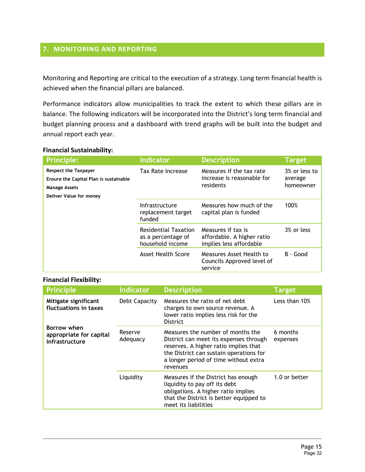## <span id="page-14-0"></span>**7. MONITORING AND REPORTING**

Monitoring and Reporting are critical to the execution of a strategy. Long term financial health is achieved when the financial pillars are balanced.

Performance indicators allow municipalities to track the extent to which these pillars are in balance. The following indicators will be incorporated into the District's long term financial and budget planning process and a dashboard with trend graphs will be built into the budget and annual report each year.

#### **Financial Sustainability:**

| <b>Principle:</b>                                                                                                        | <b>Indicator</b>                                                      | <b>Description</b>                                                          | <b>Target</b>                         |  |
|--------------------------------------------------------------------------------------------------------------------------|-----------------------------------------------------------------------|-----------------------------------------------------------------------------|---------------------------------------|--|
| <b>Respect the Taxpayer</b><br>Ensure the Capital Plan is sustainable<br><b>Manage Assets</b><br>Deliver Value for money | Tax Rate Increase                                                     | Measures if the tax rate<br>increase is reasonable for<br>residents         | 3% or less to<br>average<br>homeowner |  |
|                                                                                                                          | Infrastructure<br>replacement target<br>funded                        | Measures how much of the<br>capital plan is funded                          | 100%                                  |  |
|                                                                                                                          | <b>Residential Taxation</b><br>as a percentage of<br>household income | Measures if tax is<br>affordable. A higher ratio<br>implies less affordable | 3% or less                            |  |
|                                                                                                                          | Asset Health Score                                                    | Measures Asset Health to<br>Councils Approved level of<br>service           | B - Good                              |  |

#### **Financial Flexibility:**

| <b>Principle</b>                                         | Indicator           | <b>Description</b>                                                                                                                                                                                                   | <b>Target</b>        |
|----------------------------------------------------------|---------------------|----------------------------------------------------------------------------------------------------------------------------------------------------------------------------------------------------------------------|----------------------|
| Mitigate significant<br>fluctuations in taxes            | Debt Capacity       | Measures the ratio of net debt<br>charges to own source revenue. A<br>lower ratio implies less risk for the<br><b>District</b>                                                                                       | Less than 10%        |
| Borrow when<br>appropriate for capital<br>infrastructure | Reserve<br>Adequacy | Measures the number of months the<br>District can meet its expenses through<br>reserves. A higher ratio implies that<br>the District can sustain operations for<br>a longer period of time without extra<br>revenues | 6 months<br>expenses |
|                                                          | Liquidity           | Measures if the District has enough<br>liquidity to pay off its debt<br>obligations. A higher ratio implies<br>that the District is better equipped to<br>meet its liabilities                                       | 1.0 or better        |